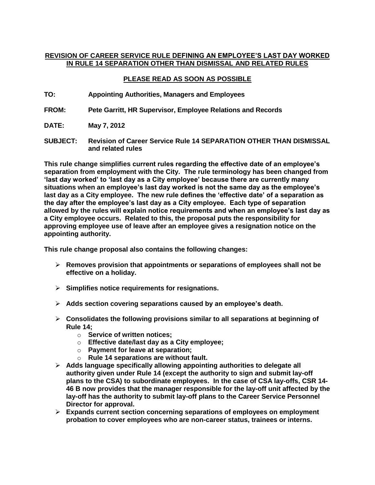## **REVISION OF CAREER SERVICE RULE DEFINING AN EMPLOYEE'S LAST DAY WORKED IN RULE 14 SEPARATION OTHER THAN DISMISSAL AND RELATED RULES**

## **PLEASE READ AS SOON AS POSSIBLE**

- **TO: Appointing Authorities, Managers and Employees**
- **FROM: Pete Garritt, HR Supervisor, Employee Relations and Records**
- **DATE: May 7, 2012**
- **SUBJECT: Revision of Career Service Rule 14 SEPARATION OTHER THAN DISMISSAL and related rules**

**This rule change simplifies current rules regarding the effective date of an employee's separation from employment with the City. The rule terminology has been changed from 'last day worked' to 'last day as a City employee' because there are currently many situations when an employee's last day worked is not the same day as the employee's last day as a City employee. The new rule defines the 'effective date' of a separation as the day after the employee's last day as a City employee. Each type of separation allowed by the rules will explain notice requirements and when an employee's last day as a City employee occurs. Related to this, the proposal puts the responsibility for approving employee use of leave after an employee gives a resignation notice on the appointing authority.**

**This rule change proposal also contains the following changes:**

- **Removes provision that appointments or separations of employees shall not be effective on a holiday.**
- **Simplifies notice requirements for resignations.**
- **Adds section covering separations caused by an employee's death.**
- **Consolidates the following provisions similar to all separations at beginning of Rule 14;**
	- o **Service of written notices;**
	- o **Effective date/last day as a City employee;**
	- o **Payment for leave at separation;**
	- o **Rule 14 separations are without fault.**
- **Adds language specifically allowing appointing authorities to delegate all authority given under Rule 14 (except the authority to sign and submit lay-off plans to the CSA) to subordinate employees. In the case of CSA lay-offs, CSR 14- 46 B now provides that the manager responsible for the lay-off unit affected by the lay-off has the authority to submit lay-off plans to the Career Service Personnel Director for approval.**
- **Expands current section concerning separations of employees on employment probation to cover employees who are non-career status, trainees or interns.**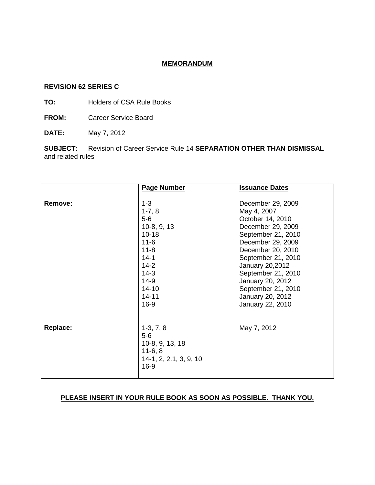## **MEMORANDUM**

### **REVISION 62 SERIES C**

**TO:** Holders of CSA Rule Books

**FROM:** Career Service Board

**DATE:** May 7, 2012

**SUBJECT:** Revision of Career Service Rule 14 **SEPARATION OTHER THAN DISMISSAL** and related rules

|                 | <b>Page Number</b>                                                                                                                                             | <b>Issuance Dates</b>                                                                                                                                                                                                                                                                      |
|-----------------|----------------------------------------------------------------------------------------------------------------------------------------------------------------|--------------------------------------------------------------------------------------------------------------------------------------------------------------------------------------------------------------------------------------------------------------------------------------------|
| Remove:         | $1 - 3$<br>$1-7, 8$<br>$5-6$<br>$10-8, 9, 13$<br>$10 - 18$<br>$11 - 6$<br>$11 - 8$<br>$14-1$<br>$14-2$<br>$14-3$<br>$14-9$<br>$14 - 10$<br>$14 - 11$<br>$16-9$ | December 29, 2009<br>May 4, 2007<br>October 14, 2010<br>December 29, 2009<br>September 21, 2010<br>December 29, 2009<br>December 20, 2010<br>September 21, 2010<br>January 20,2012<br>September 21, 2010<br>January 20, 2012<br>September 21, 2010<br>January 20, 2012<br>January 22, 2010 |
| <b>Replace:</b> | $1-3, 7, 8$<br>$5-6$<br>10-8, 9, 13, 18<br>$11-6, 8$<br>14-1, 2, 2.1, 3, 9, 10<br>$16-9$                                                                       | May 7, 2012                                                                                                                                                                                                                                                                                |

## **PLEASE INSERT IN YOUR RULE BOOK AS SOON AS POSSIBLE. THANK YOU.**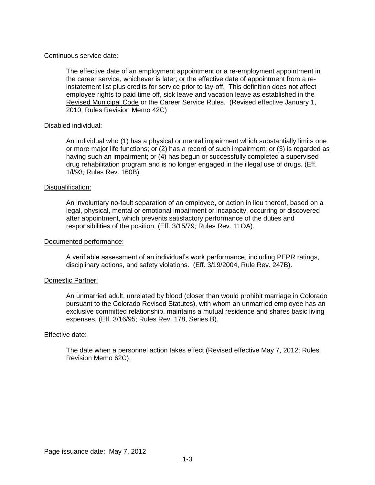#### Continuous service date:

The effective date of an employment appointment or a re-employment appointment in the career service, whichever is later; or the effective date of appointment from a reinstatement list plus credits for service prior to lay-off. This definition does not affect employee rights to paid time off, sick leave and vacation leave as established in the Revised Municipal Code or the Career Service Rules. (Revised effective January 1, 2010; Rules Revision Memo 42C)

### Disabled individual:

An individual who (1) has a physical or mental impairment which substantially limits one or more major life functions; or (2) has a record of such impairment; or (3) is regarded as having such an impairment; or (4) has begun or successfully completed a supervised drug rehabilitation program and is no longer engaged in the illegal use of drugs. (Eff. 1/l/93; Rules Rev. 160B).

#### Disqualification:

An involuntary no-fault separation of an employee, or action in lieu thereof, based on a legal, physical, mental or emotional impairment or incapacity, occurring or discovered after appointment, which prevents satisfactory performance of the duties and responsibilities of the position. (Eff. 3/15/79; Rules Rev. 11OA).

#### Documented performance:

A verifiable assessment of an individual's work performance, including PEPR ratings, disciplinary actions, and safety violations. (Eff. 3/19/2004, Rule Rev. 247B).

### Domestic Partner:

An unmarried adult, unrelated by blood (closer than would prohibit marriage in Colorado pursuant to the Colorado Revised Statutes), with whom an unmarried employee has an exclusive committed relationship, maintains a mutual residence and shares basic living expenses. (Eff. 3/16/95; Rules Rev. 178, Series B).

#### Effective date:

The date when a personnel action takes effect (Revised effective May 7, 2012; Rules Revision Memo 62C).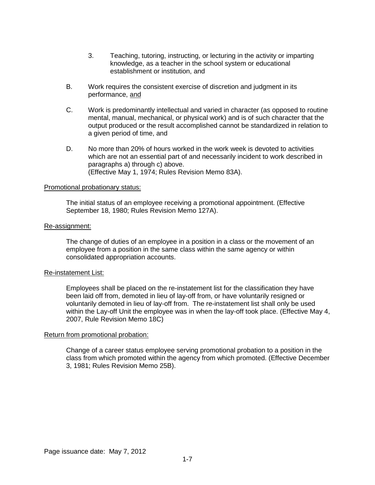- 3. Teaching, tutoring, instructing, or lecturing in the activity or imparting knowledge, as a teacher in the school system or educational establishment or institution, and
- B. Work requires the consistent exercise of discretion and judgment in its performance, and
- C. Work is predominantly intellectual and varied in character (as opposed to routine mental, manual, mechanical, or physical work) and is of such character that the output produced or the result accomplished cannot be standardized in relation to a given period of time, and
- D. No more than 20% of hours worked in the work week is devoted to activities which are not an essential part of and necessarily incident to work described in paragraphs a) through c) above. (Effective May 1, 1974; Rules Revision Memo 83A).

#### Promotional probationary status:

The initial status of an employee receiving a promotional appointment. (Effective September 18, 1980; Rules Revision Memo 127A).

#### Re-assignment:

The change of duties of an employee in a position in a class or the movement of an employee from a position in the same class within the same agency or within consolidated appropriation accounts.

### Re-instatement List:

Employees shall be placed on the re-instatement list for the classification they have been laid off from, demoted in lieu of lay-off from, or have voluntarily resigned or voluntarily demoted in lieu of lay-off from. The re-instatement list shall only be used within the Lay-off Unit the employee was in when the lay-off took place. (Effective May 4, 2007, Rule Revision Memo 18C)

### Return from promotional probation:

Change of a career status employee serving promotional probation to a position in the class from which promoted within the agency from which promoted. (Effective December 3, 1981; Rules Revision Memo 25B).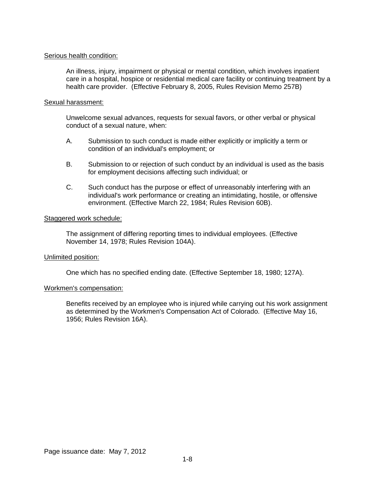### Serious health condition:

An illness, injury, impairment or physical or mental condition, which involves inpatient care in a hospital, hospice or residential medical care facility or continuing treatment by a health care provider. (Effective February 8, 2005, Rules Revision Memo 257B)

### Sexual harassment:

Unwelcome sexual advances, requests for sexual favors, or other verbal or physical conduct of a sexual nature, when:

- A. Submission to such conduct is made either explicitly or implicitly a term or condition of an individual's employment; or
- B. Submission to or rejection of such conduct by an individual is used as the basis for employment decisions affecting such individual; or
- C. Such conduct has the purpose or effect of unreasonably interfering with an individual's work performance or creating an intimidating, hostile, or offensive environment. (Effective March 22, 1984; Rules Revision 60B).

## Staggered work schedule:

The assignment of differing reporting times to individual employees. (Effective November 14, 1978; Rules Revision 104A).

### Unlimited position:

One which has no specified ending date. (Effective September 18, 1980; 127A).

### Workmen's compensation:

Benefits received by an employee who is injured while carrying out his work assignment as determined by the Workmen's Compensation Act of Colorado. (Effective May 16, 1956; Rules Revision 16A).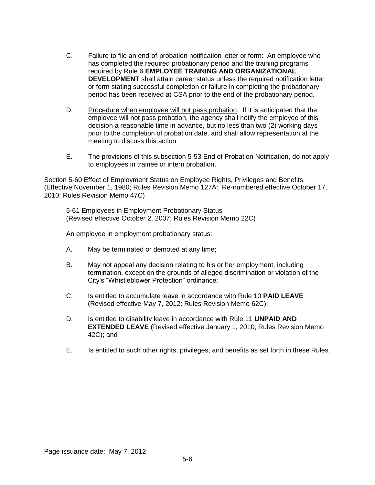- C. Failure to file an end-of-probation notification letter or form: An employee who has completed the required probationary period and the training programs required by Rule 6 **EMPLOYEE TRAINING AND ORGANIZATIONAL DEVELOPMENT** shall attain career status unless the required notification letter or form stating successful completion or failure in completing the probationary period has been received at CSA prior to the end of the probationary period.
- D. Procedure when employee will not pass probation: If it is anticipated that the employee will not pass probation, the agency shall notify the employee of this decision a reasonable time in advance, but no less than two (2) working days prior to the completion of probation date, and shall allow representation at the meeting to discuss this action.
- E. The provisions of this subsection 5-53 End of Probation Notification, do not apply to employees in trainee or intern probation.

Section 5-60 Effect of Employment Status on Employee Rights, Privileges and Benefits. (Effective November 1, 1980; Rules Revision Memo 127A: Re-numbered effective October 17, 2010; Rules Revision Memo 47C)

5-61 Employees in Employment Probationary Status (Revised effective October 2, 2007; Rules Revision Memo 22C)

An employee in employment probationary status:

- A. May be terminated or demoted at any time;
- B. May not appeal any decision relating to his or her employment, including termination, except on the grounds of alleged discrimination or violation of the City's "Whistleblower Protection" ordinance;
- C. Is entitled to accumulate leave in accordance with Rule 10 **PAID LEAVE** (Revised effective May 7, 2012; Rules Revision Memo 62C);
- D. Is entitled to disability leave in accordance with Rule 11 **UNPAID AND EXTENDED LEAVE** (Revised effective January 1, 2010; Rules Revision Memo 42C); and
- E. Is entitled to such other rights, privileges, and benefits as set forth in these Rules.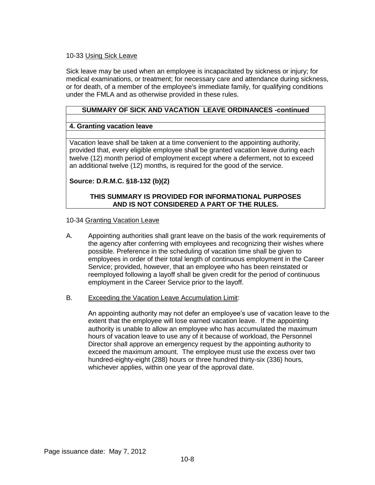## 10-33 Using Sick Leave

Sick leave may be used when an employee is incapacitated by sickness or injury; for medical examinations, or treatment; for necessary care and attendance during sickness, or for death, of a member of the employee's immediate family, for qualifying conditions under the FMLA and as otherwise provided in these rules.

## **SUMMARY OF SICK AND VACATION LEAVE ORDINANCES -continued**

## **4. Granting vacation leave**

Vacation leave shall be taken at a time convenient to the appointing authority, provided that, every eligible employee shall be granted vacation leave during each twelve (12) month period of employment except where a deferment, not to exceed an additional twelve (12) months, is required for the good of the service.

## **Source: D.R.M.C. §18-132 (b)(2)**

## **THIS SUMMARY IS PROVIDED FOR INFORMATIONAL PURPOSES AND IS NOT CONSIDERED A PART OF THE RULES.**

## 10-34 Granting Vacation Leave

- A. Appointing authorities shall grant leave on the basis of the work requirements of the agency after conferring with employees and recognizing their wishes where possible. Preference in the scheduling of vacation time shall be given to employees in order of their total length of continuous employment in the Career Service; provided, however, that an employee who has been reinstated or reemployed following a layoff shall be given credit for the period of continuous employment in the Career Service prior to the layoff.
- B. Exceeding the Vacation Leave Accumulation Limit:

An appointing authority may not defer an employee's use of vacation leave to the extent that the employee will lose earned vacation leave. If the appointing authority is unable to allow an employee who has accumulated the maximum hours of vacation leave to use any of it because of workload, the Personnel Director shall approve an emergency request by the appointing authority to exceed the maximum amount. The employee must use the excess over two hundred-eighty-eight (288) hours or three hundred thirty-six (336) hours, whichever applies, within one year of the approval date.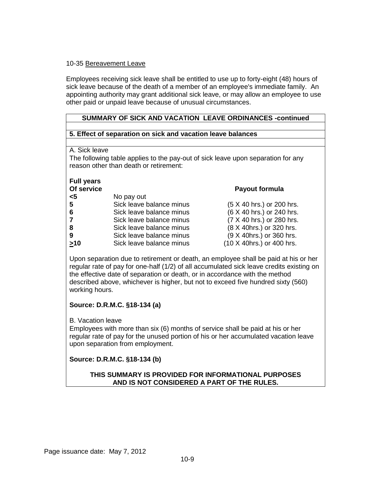## 10-35 Bereavement Leave

Employees receiving sick leave shall be entitled to use up to forty-eight (48) hours of sick leave because of the death of a member of an employee's immediate family. An appointing authority may grant additional sick leave, or may allow an employee to use other paid or unpaid leave because of unusual circumstances.

## **SUMMARY OF SICK AND VACATION LEAVE ORDINANCES -continued**

## **5. Effect of separation on sick and vacation leave balances**

### A. Sick leave

The following table applies to the pay-out of sick leave upon separation for any reason other than death or retirement:

**Of service Payout formula**

# **Full years**

| Of service |  |  |
|------------|--|--|
|            |  |  |
|            |  |  |

| טטו זיט ו      |                          | <b>1 GYVUL IVIIIIUIU</b>  |
|----------------|--------------------------|---------------------------|
| $<$ 5          | No pay out               |                           |
| 5              | Sick leave balance minus | (5 X 40 hrs.) or 200 hrs. |
| 6              | Sick leave balance minus | (6 X 40 hrs.) or 240 hrs. |
| $\overline{7}$ | Sick leave balance minus | (7 X 40 hrs.) or 280 hrs. |
| 8              | Sick leave balance minus | (8 X 40hrs.) or 320 hrs.  |
| 9              | Sick leave balance minus | (9 X 40hrs.) or 360 hrs.  |
| $\geq 10$      | Sick leave balance minus | (10 X 40hrs.) or 400 hrs. |

Upon separation due to retirement or death, an employee shall be paid at his or her regular rate of pay for one-half (1/2) of all accumulated sick leave credits existing on the effective date of separation or death, or in accordance with the method described above, whichever is higher, but not to exceed five hundred sixty (560) working hours.

## **Source: D.R.M.C. §18-134 (a)**

B. Vacation leave

Employees with more than six (6) months of service shall be paid at his or her regular rate of pay for the unused portion of his or her accumulated vacation leave upon separation from employment.

## **Source: D.R.M.C. §18-134 (b)**

## **THIS SUMMARY IS PROVIDED FOR INFORMATIONAL PURPOSES AND IS NOT CONSIDERED A PART OF THE RULES.**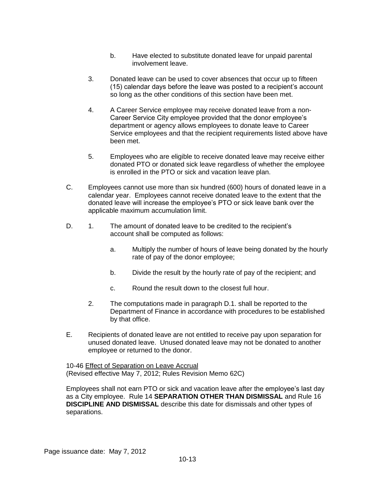- b. Have elected to substitute donated leave for unpaid parental involvement leave.
- 3. Donated leave can be used to cover absences that occur up to fifteen (15) calendar days before the leave was posted to a recipient's account so long as the other conditions of this section have been met.
- 4. A Career Service employee may receive donated leave from a non-Career Service City employee provided that the donor employee's department or agency allows employees to donate leave to Career Service employees and that the recipient requirements listed above have been met.
- 5. Employees who are eligible to receive donated leave may receive either donated PTO or donated sick leave regardless of whether the employee is enrolled in the PTO or sick and vacation leave plan.
- C. Employees cannot use more than six hundred (600) hours of donated leave in a calendar year. Employees cannot receive donated leave to the extent that the donated leave will increase the employee's PTO or sick leave bank over the applicable maximum accumulation limit.
- D. 1. The amount of donated leave to be credited to the recipient's account shall be computed as follows:
	- a. Multiply the number of hours of leave being donated by the hourly rate of pay of the donor employee;
	- b. Divide the result by the hourly rate of pay of the recipient; and
	- c. Round the result down to the closest full hour.
	- 2. The computations made in paragraph D.1. shall be reported to the Department of Finance in accordance with procedures to be established by that office.
- E. Recipients of donated leave are not entitled to receive pay upon separation for unused donated leave. Unused donated leave may not be donated to another employee or returned to the donor.

10-46 Effect of Separation on Leave Accrual (Revised effective May 7, 2012; Rules Revision Memo 62C)

Employees shall not earn PTO or sick and vacation leave after the employee's last day as a City employee. Rule 14 **SEPARATION OTHER THAN DISMISSAL** and Rule 16 **DISCIPLINE AND DISMISSAL** describe this date for dismissals and other types of separations.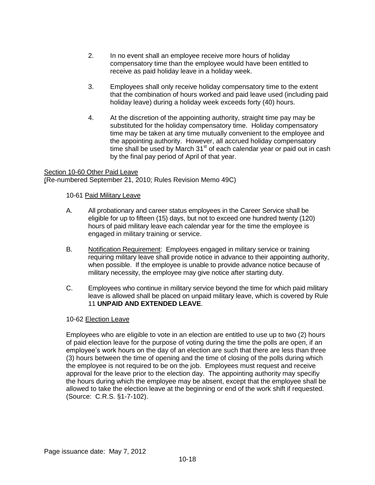- 2. In no event shall an employee receive more hours of holiday compensatory time than the employee would have been entitled to receive as paid holiday leave in a holiday week.
- 3. Employees shall only receive holiday compensatory time to the extent that the combination of hours worked and paid leave used (including paid holiday leave) during a holiday week exceeds forty (40) hours.
- 4. At the discretion of the appointing authority, straight time pay may be substituted for the holiday compensatory time. Holiday compensatory time may be taken at any time mutually convenient to the employee and the appointing authority. However, all accrued holiday compensatory time shall be used by March  $31<sup>st</sup>$  of each calendar year or paid out in cash by the final pay period of April of that year.

Section 10-60 Other Paid Leave (Re-numbered September 21, 2010; Rules Revision Memo 49C)

## 10-61 Paid Military Leave

- A. All probationary and career status employees in the Career Service shall be eligible for up to fifteen (15) days, but not to exceed one hundred twenty (120) hours of paid military leave each calendar year for the time the employee is engaged in military training or service.
- B. Notification Requirement: Employees engaged in military service or training requiring military leave shall provide notice in advance to their appointing authority, when possible. If the employee is unable to provide advance notice because of military necessity, the employee may give notice after starting duty.
- C. Employees who continue in military service beyond the time for which paid military leave is allowed shall be placed on unpaid military leave, which is covered by Rule 11 **UNPAID AND EXTENDED LEAVE**.

### 10-62 Election Leave

Employees who are eligible to vote in an election are entitled to use up to two (2) hours of paid election leave for the purpose of voting during the time the polls are open, if an employee's work hours on the day of an election are such that there are less than three (3) hours between the time of opening and the time of closing of the polls during which the employee is not required to be on the job. Employees must request and receive approval for the leave prior to the election day. The appointing authority may specifiy the hours during which the employee may be absent, except that the employee shall be allowed to take the election leave at the beginning or end of the work shift if requested. (Source: C.R.S. §1-7-102).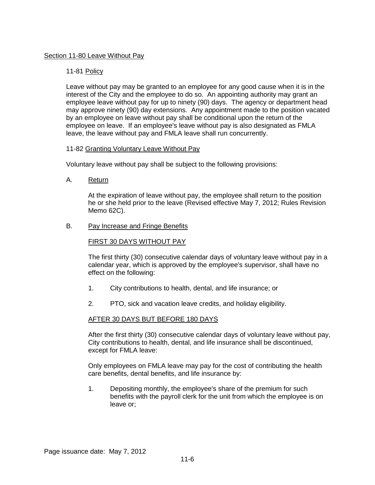## Section 11-80 Leave Without Pay

## 11-81 Policy

Leave without pay may be granted to an employee for any good cause when it is in the interest of the City and the employee to do so. An appointing authority may grant an employee leave without pay for up to ninety (90) days. The agency or department head may approve ninety (90) day extensions. Any appointment made to the position vacated by an employee on leave without pay shall be conditional upon the return of the employee on leave. If an employee's leave without pay is also designated as FMLA leave, the leave without pay and FMLA leave shall run concurrently.

### 11-82 Granting Voluntary Leave Without Pay

Voluntary leave without pay shall be subject to the following provisions:

A. Return

At the expiration of leave without pay, the employee shall return to the position he or she held prior to the leave (Revised effective May 7, 2012; Rules Revision Memo 62C).

B. Pay Increase and Fringe Benefits

## FIRST 30 DAYS WITHOUT PAY

The first thirty (30) consecutive calendar days of voluntary leave without pay in a calendar year, which is approved by the employee's supervisor, shall have no effect on the following:

- 1. City contributions to health, dental, and life insurance; or
- 2. PTO, sick and vacation leave credits, and holiday eligibility.

### AFTER 30 DAYS BUT BEFORE 180 DAYS

After the first thirty (30) consecutive calendar days of voluntary leave without pay, City contributions to health, dental, and life insurance shall be discontinued, except for FMLA leave:

Only employees on FMLA leave may pay for the cost of contributing the health care benefits, dental benefits, and life insurance by:

1. Depositing monthly, the employee's share of the premium for such benefits with the payroll clerk for the unit from which the employee is on leave or;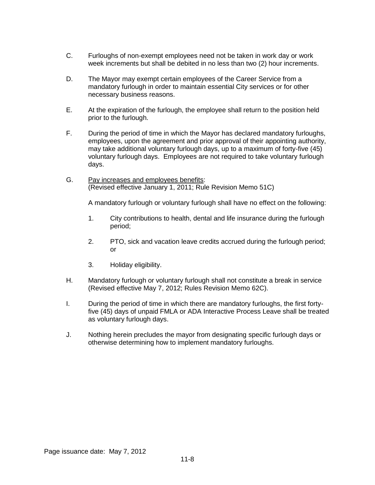- C. Furloughs of non-exempt employees need not be taken in work day or work week increments but shall be debited in no less than two (2) hour increments.
- D. The Mayor may exempt certain employees of the Career Service from a mandatory furlough in order to maintain essential City services or for other necessary business reasons.
- E. At the expiration of the furlough, the employee shall return to the position held prior to the furlough.
- F. During the period of time in which the Mayor has declared mandatory furloughs, employees, upon the agreement and prior approval of their appointing authority, may take additional voluntary furlough days, up to a maximum of forty-five (45) voluntary furlough days. Employees are not required to take voluntary furlough days.
- G. Pay increases and employees benefits: (Revised effective January 1, 2011; Rule Revision Memo 51C)

A mandatory furlough or voluntary furlough shall have no effect on the following:

- 1. City contributions to health, dental and life insurance during the furlough period;
- 2. PTO, sick and vacation leave credits accrued during the furlough period; or
- 3. Holiday eligibility.
- H. Mandatory furlough or voluntary furlough shall not constitute a break in service (Revised effective May 7, 2012; Rules Revision Memo 62C).
- I. During the period of time in which there are mandatory furloughs, the first fortyfive (45) days of unpaid FMLA or ADA Interactive Process Leave shall be treated as voluntary furlough days.
- J. Nothing herein precludes the mayor from designating specific furlough days or otherwise determining how to implement mandatory furloughs.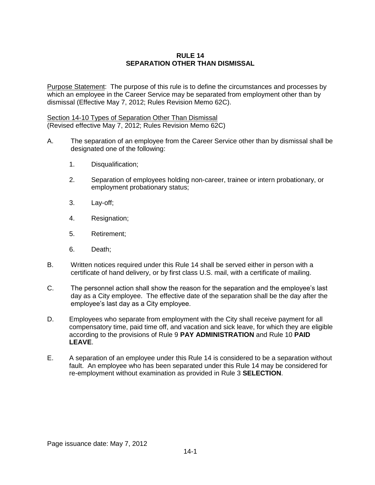## **RULE 14 SEPARATION OTHER THAN DISMISSAL**

Purpose Statement: The purpose of this rule is to define the circumstances and processes by which an employee in the Career Service may be separated from employment other than by dismissal (Effective May 7, 2012; Rules Revision Memo 62C).

Section 14-10 Types of Separation Other Than Dismissal (Revised effective May 7, 2012; Rules Revision Memo 62C)

- A. The separation of an employee from the Career Service other than by dismissal shall be designated one of the following:
	- 1. Disqualification;
	- 2. Separation of employees holding non-career, trainee or intern probationary, or employment probationary status;
	- 3. Lay-off;
	- 4. Resignation;
	- 5. Retirement;
	- 6. Death;
- B. Written notices required under this Rule 14 shall be served either in person with a certificate of hand delivery, or by first class U.S. mail, with a certificate of mailing.
- C. The personnel action shall show the reason for the separation and the employee's last day as a City employee. The effective date of the separation shall be the day after the employee's last day as a City employee.
- D. Employees who separate from employment with the City shall receive payment for all compensatory time, paid time off, and vacation and sick leave, for which they are eligible according to the provisions of Rule 9 **PAY ADMINISTRATION** and Rule 10 **PAID LEAVE**.
- E. A separation of an employee under this Rule 14 is considered to be a separation without fault. An employee who has been separated under this Rule 14 may be considered for re-employment without examination as provided in Rule 3 **SELECTION**.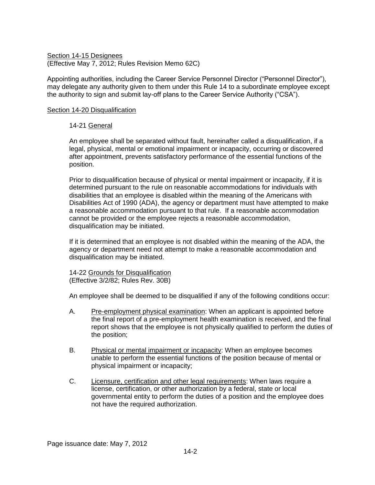Section 14-15 Designees (Effective May 7, 2012; Rules Revision Memo 62C)

Appointing authorities, including the Career Service Personnel Director ("Personnel Director"), may delegate any authority given to them under this Rule 14 to a subordinate employee except the authority to sign and submit lay-off plans to the Career Service Authority ("CSA").

## Section 14-20 Disqualification

## 14-21 General

An employee shall be separated without fault, hereinafter called a disqualification, if a legal, physical, mental or emotional impairment or incapacity, occurring or discovered after appointment, prevents satisfactory performance of the essential functions of the position.

Prior to disqualification because of physical or mental impairment or incapacity, if it is determined pursuant to the rule on reasonable accommodations for individuals with disabilities that an employee is disabled within the meaning of the Americans with Disabilities Act of 1990 (ADA), the agency or department must have attempted to make a reasonable accommodation pursuant to that rule. If a reasonable accommodation cannot be provided or the employee rejects a reasonable accommodation, disqualification may be initiated.

If it is determined that an employee is not disabled within the meaning of the ADA, the agency or department need not attempt to make a reasonable accommodation and disqualification may be initiated.

14-22 Grounds for Disqualification (Effective 3/2/82; Rules Rev. 30B)

An employee shall be deemed to be disqualified if any of the following conditions occur:

- A. Pre-employment physical examination: When an applicant is appointed before the final report of a pre-employment health examination is received, and the final report shows that the employee is not physically qualified to perform the duties of the position;
- B. Physical or mental impairment or incapacity: When an employee becomes unable to perform the essential functions of the position because of mental or physical impairment or incapacity;
- C. Licensure, certification and other legal requirements: When laws require a license, certification, or other authorization by a federal, state or local governmental entity to perform the duties of a position and the employee does not have the required authorization.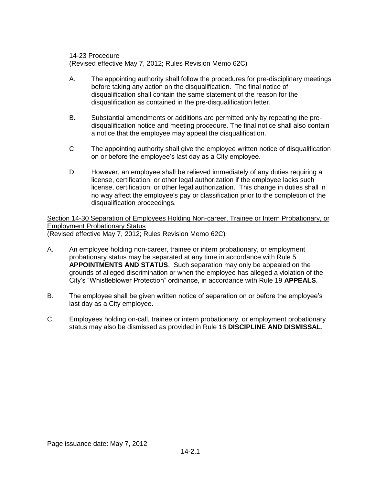14-23 Procedure

(Revised effective May 7, 2012; Rules Revision Memo 62C)

- A. The appointing authority shall follow the procedures for pre-disciplinary meetings before taking any action on the disqualification. The final notice of disqualification shall contain the same statement of the reason for the disqualification as contained in the pre-disqualification letter.
- B. Substantial amendments or additions are permitted only by repeating the predisqualification notice and meeting procedure. The final notice shall also contain a notice that the employee may appeal the disqualification.
- C, The appointing authority shall give the employee written notice of disqualification on or before the employee's last day as a City employee.
- D. However, an employee shall be relieved immediately of any duties requiring a license, certification, or other legal authorization if the employee lacks such license, certification, or other legal authorization. This change in duties shall in no way affect the employee's pay or classification prior to the completion of the disqualification proceedings.

Section 14-30 Separation of Employees Holding Non-career, Trainee or Intern Probationary, or Employment Probationary Status (Revised effective May 7, 2012; Rules Revision Memo 62C)

- A. An employee holding non-career, trainee or intern probationary, or employment probationary status may be separated at any time in accordance with Rule 5 **APPOINTMENTS AND STATUS**. Such separation may only be appealed on the grounds of alleged discrimination or when the employee has alleged a violation of the City's "Whistleblower Protection" ordinance, in accordance with Rule 19 **APPEALS**.
- B. The employee shall be given written notice of separation on or before the employee's last day as a City employee.
- C. Employees holding on-call, trainee or intern probationary, or employment probationary status may also be dismissed as provided in Rule 16 **DISCIPLINE AND DISMISSAL**.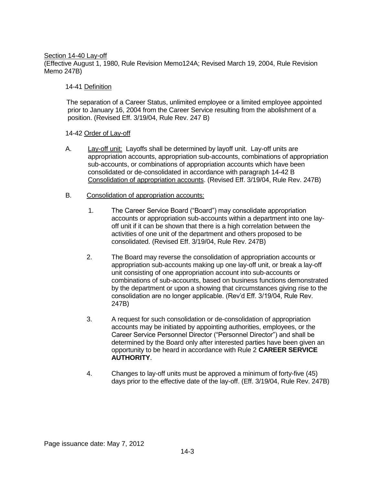### Section 14-40 Lay-off

(Effective August 1, 1980, Rule Revision Memo124A; Revised March 19, 2004, Rule Revision Memo 247B)

## 14-41 Definition

The separation of a Career Status, unlimited employee or a limited employee appointed prior to January 16, 2004 from the Career Service resulting from the abolishment of a position. (Revised Eff. 3/19/04, Rule Rev. 247 B)

## 14-42 Order of Lay-off

- A. Lay-off unit: Layoffs shall be determined by layoff unit. Lay-off units are appropriation accounts, appropriation sub-accounts, combinations of appropriation sub-accounts, or combinations of appropriation accounts which have been consolidated or de-consolidated in accordance with paragraph 14-42 B Consolidation of appropriation accounts. (Revised Eff. 3/19/04, Rule Rev. 247B)
- B. Consolidation of appropriation accounts:
	- 1. The Career Service Board ("Board") may consolidate appropriation accounts or appropriation sub-accounts within a department into one layoff unit if it can be shown that there is a high correlation between the activities of one unit of the department and others proposed to be consolidated. (Revised Eff. 3/19/04, Rule Rev. 247B)
	- 2. The Board may reverse the consolidation of appropriation accounts or appropriation sub-accounts making up one lay-off unit, or break a lay-off unit consisting of one appropriation account into sub-accounts or combinations of sub-accounts, based on business functions demonstrated by the department or upon a showing that circumstances giving rise to the consolidation are no longer applicable. (Rev'd Eff. 3/19/04, Rule Rev. 247B)
	- 3. A request for such consolidation or de-consolidation of appropriation accounts may be initiated by appointing authorities, employees, or the Career Service Personnel Director ("Personnel Director") and shall be determined by the Board only after interested parties have been given an opportunity to be heard in accordance with Rule 2 **CAREER SERVICE AUTHORITY**.
	- 4. Changes to lay-off units must be approved a minimum of forty-five (45) days prior to the effective date of the lay-off. (Eff. 3/19/04, Rule Rev. 247B)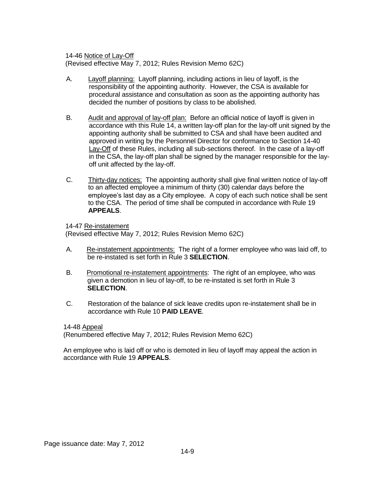14-46 Notice of Lay-Off (Revised effective May 7, 2012; Rules Revision Memo 62C)

- A. Layoff planning: Layoff planning, including actions in lieu of layoff, is the responsibility of the appointing authority. However, the CSA is available for procedural assistance and consultation as soon as the appointing authority has decided the number of positions by class to be abolished.
- B. Audit and approval of lay-off plan: Before an official notice of layoff is given in accordance with this Rule 14, a written lay-off plan for the lay-off unit signed by the appointing authority shall be submitted to CSA and shall have been audited and approved in writing by the Personnel Director for conformance to Section 14-40 Lay-Off of these Rules, including all sub-sections thereof. In the case of a lay-off in the CSA, the lay-off plan shall be signed by the manager responsible for the layoff unit affected by the lay-off.
- C. Thirty-day notices: The appointing authority shall give final written notice of lay-off to an affected employee a minimum of thirty (30) calendar days before the employee's last day as a City employee. A copy of each such notice shall be sent to the CSA. The period of time shall be computed in accordance with Rule 19 **APPEALS**.

14-47 Re-instatement

(Revised effective May 7, 2012; Rules Revision Memo 62C)

- A. Re-instatement appointments: The right of a former employee who was laid off, to be re-instated is set forth in Rule 3 **SELECTION**.
- B. Promotional re-instatement appointments: The right of an employee, who was given a demotion in lieu of lay-off, to be re-instated is set forth in Rule 3 **SELECTION**.
- C. Restoration of the balance of sick leave credits upon re-instatement shall be in accordance with Rule 10 **PAID LEAVE**.

### 14-48 Appeal

(Renumbered effective May 7, 2012; Rules Revision Memo 62C)

An employee who is laid off or who is demoted in lieu of layoff may appeal the action in accordance with Rule 19 **APPEALS**.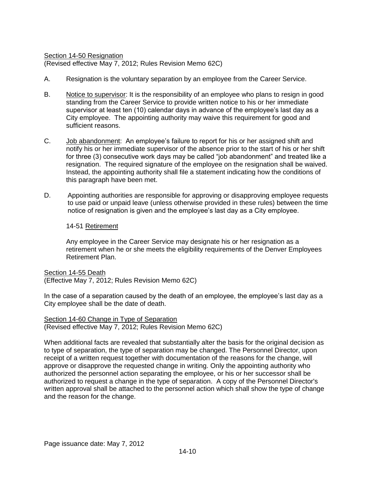Section 14-50 Resignation (Revised effective May 7, 2012; Rules Revision Memo 62C)

- A. Resignation is the voluntary separation by an employee from the Career Service.
- B. Notice to supervisor: It is the responsibility of an employee who plans to resign in good standing from the Career Service to provide written notice to his or her immediate supervisor at least ten (10) calendar days in advance of the employee's last day as a City employee. The appointing authority may waive this requirement for good and sufficient reasons.
- C. Job abandonment: An employee's failure to report for his or her assigned shift and notify his or her immediate supervisor of the absence prior to the start of his or her shift for three (3) consecutive work days may be called "job abandonment" and treated like a resignation. The required signature of the employee on the resignation shall be waived. Instead, the appointing authority shall file a statement indicating how the conditions of this paragraph have been met.
- D. Appointing authorities are responsible for approving or disapproving employee requests to use paid or unpaid leave (unless otherwise provided in these rules) between the time notice of resignation is given and the employee's last day as a City employee.

## 14-51 Retirement

Any employee in the Career Service may designate his or her resignation as a retirement when he or she meets the eligibility requirements of the Denver Employees Retirement Plan.

Section 14-55 Death (Effective May 7, 2012; Rules Revision Memo 62C)

In the case of a separation caused by the death of an employee, the employee's last day as a City employee shall be the date of death.

Section 14-60 Change in Type of Separation (Revised effective May 7, 2012; Rules Revision Memo 62C)

When additional facts are revealed that substantially alter the basis for the original decision as to type of separation, the type of separation may be changed. The Personnel Director, upon receipt of a written request together with documentation of the reasons for the change, will approve or disapprove the requested change in writing. Only the appointing authority who authorized the personnel action separating the employee, or his or her successor shall be authorized to request a change in the type of separation. A copy of the Personnel Director's written approval shall be attached to the personnel action which shall show the type of change and the reason for the change.